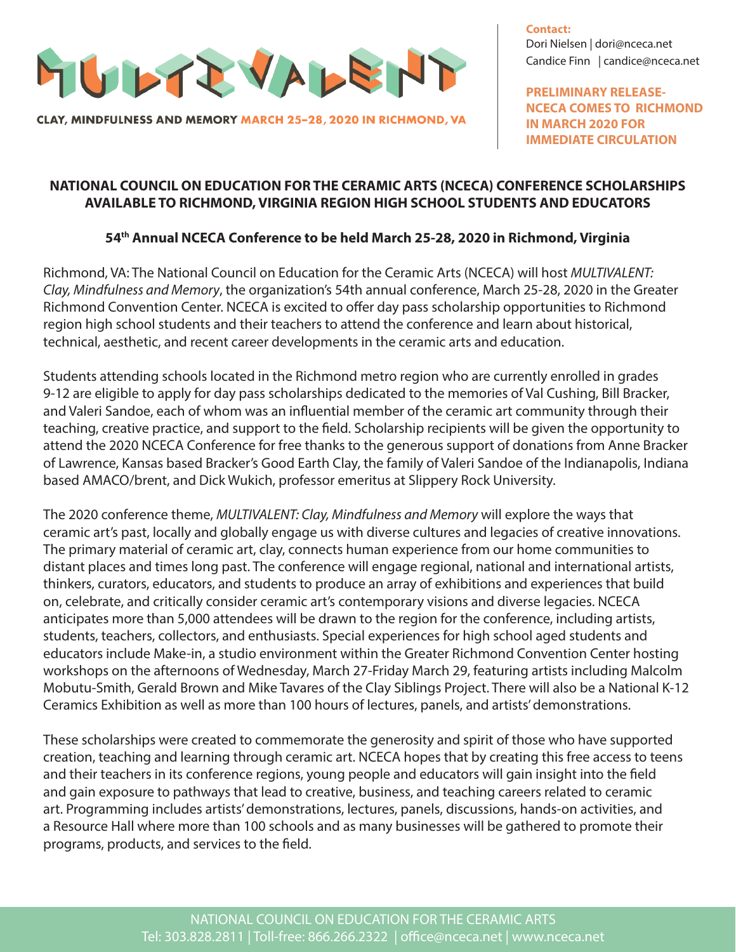

CLAY, MINDFULNESS AND MEMORY MARCH 25-28, 2020 IN RICHMOND, VA

**Contact:** Dori Nielsen | dori@nceca.net Candice Finn | candice@nceca.net

**PRELIMINARY RELEASE-NCECA COMES TO RICHMOND IN MARCH 2020 FOR IMMEDIATE CIRCULATION**

## **NATIONAL COUNCIL ON EDUCATION FOR THE CERAMIC ARTS (NCECA) CONFERENCE SCHOLARSHIPS AVAILABLE TO RICHMOND, VIRGINIA REGION HIGH SCHOOL STUDENTS AND EDUCATORS**

## **54th Annual NCECA Conference to be held March 25-28, 2020 in Richmond, Virginia**

Richmond, VA: The National Council on Education for the Ceramic Arts (NCECA) will host *MULTIVALENT: Clay, Mindfulness and Memory*, the organization's 54th annual conference, March 25-28, 2020 in the Greater Richmond Convention Center. NCECA is excited to offer day pass scholarship opportunities to Richmond region high school students and their teachers to attend the conference and learn about historical, technical, aesthetic, and recent career developments in the ceramic arts and education.

Students attending schools located in the Richmond metro region who are currently enrolled in grades 9-12 are eligible to apply for day pass scholarships dedicated to the memories of Val Cushing, Bill Bracker, and Valeri Sandoe, each of whom was an influential member of the ceramic art community through their teaching, creative practice, and support to the field. Scholarship recipients will be given the opportunity to attend the 2020 NCECA Conference for free thanks to the generous support of donations from Anne Bracker of Lawrence, Kansas based Bracker's Good Earth Clay, the family of Valeri Sandoe of the Indianapolis, Indiana based AMACO/brent, and Dick Wukich, professor emeritus at Slippery Rock University.

The 2020 conference theme, *MULTIVALENT: Clay, Mindfulness and Memory* will explore the ways that ceramic art's past, locally and globally engage us with diverse cultures and legacies of creative innovations. The primary material of ceramic art, clay, connects human experience from our home communities to distant places and times long past. The conference will engage regional, national and international artists, thinkers, curators, educators, and students to produce an array of exhibitions and experiences that build on, celebrate, and critically consider ceramic art's contemporary visions and diverse legacies. NCECA anticipates more than 5,000 attendees will be drawn to the region for the conference, including artists, students, teachers, collectors, and enthusiasts. Special experiences for high school aged students and educators include Make-in, a studio environment within the Greater Richmond Convention Center hosting workshops on the afternoons of Wednesday, March 27-Friday March 29, featuring artists including Malcolm Mobutu-Smith, Gerald Brown and Mike Tavares of the Clay Siblings Project. There will also be a National K-12 Ceramics Exhibition as well as more than 100 hours of lectures, panels, and artists' demonstrations.

These scholarships were created to commemorate the generosity and spirit of those who have supported creation, teaching and learning through ceramic art. NCECA hopes that by creating this free access to teens and their teachers in its conference regions, young people and educators will gain insight into the field and gain exposure to pathways that lead to creative, business, and teaching careers related to ceramic art. Programming includes artists' demonstrations, lectures, panels, discussions, hands-on activities, and a Resource Hall where more than 100 schools and as many businesses will be gathered to promote their programs, products, and services to the field.